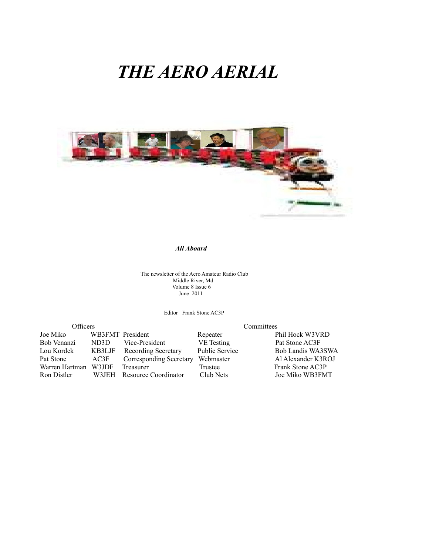# *THE AERO AERIAL*



# *All Aboard*

The newsletter of the Aero Amateur Radio Club Middle River, Md Volume 8 Issue 6 June 2011

Editor Frank Stone AC3P

| Officers       |                  | Committees                     |                       |                    |  |
|----------------|------------------|--------------------------------|-----------------------|--------------------|--|
| Joe Miko       | WB3FMT President |                                | Repeater              | Phil Hock W3VRD    |  |
| Bob Venanzi    | ND3D             | Vice-President                 | <b>VE</b> Testing     | Pat Stone AC3F     |  |
| Lou Kordek     | KB3LJF           | <b>Recording Secretary</b>     | <b>Public Service</b> | Bob Landis WA3SWA  |  |
| Pat Stone      | AC3F             | <b>Corresponding Secretary</b> | Webmaster             | Al Alexander K3ROJ |  |
| Warren Hartman | W3JDF            | Treasurer                      | Trustee               | Frank Stone AC3P   |  |
| Ron Distler    | W3JEH            | Resource Coordinator           | Club Nets             | Joe Miko WB3FMT    |  |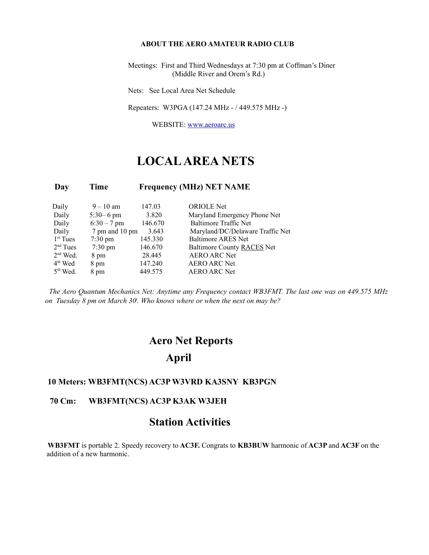#### **ABOUT THE AERO AMATEUR RADIO CLUB**

 Meetings: First and Third Wednesdays at 7:30 pm at Coffman's Diner (Middle River and Orem's Rd.)

Nets: See Local Area Net Schedule

Repeaters: W3PGA (147.24 MHz - / 449.575 MHz -)

WEBSITE: [www.aeroarc.us](http://www.aeroarc.us/)

## **LOCAL AREA NETS**

#### **Day Time Frequency (MHz) NET NAME**

| Daily                | $9 - 10$ am       | 147.03  | <b>ORIOLE</b> Net                |
|----------------------|-------------------|---------|----------------------------------|
| Daily                | $5:30 - 6$ pm     | 3.820   | Maryland Emergency Phone Net     |
| Daily                | $6:30 - 7$ pm     | 146.670 | <b>Baltimore Traffic Net</b>     |
| Daily                | 7 pm and 10 pm    | 3.643   | Maryland/DC/Delaware Traffic Net |
| $1st$ Tues           | $7:30 \text{ pm}$ | 145.330 | <b>Baltimore ARES Net</b>        |
| 2 <sup>nd</sup> Tues | $7:30 \text{ pm}$ | 146.670 | Baltimore County RACES Net       |
| $2nd$ Wed.           | 8 pm              | 28.445  | <b>AERO ARC Net</b>              |
| $4th$ Wed            | 8 pm              | 147.240 | <b>AERO ARC Net</b>              |
| $5th$ Wed.           | 8 pm              | 449.575 | <b>AERO ARC Net</b>              |

*The Aero Quantum Mechanics Net: Anytime any Frequency contact WB3FMT. The last one was on 449.575 MHz on Tuesday 8 pm on March 30<sup>t</sup> . Who knows where or when the next on may be?*

## **Aero Net Reports April**

#### **10 Meters: WB3FMT(NCS) AC3P W3VRD KA3SNY KB3PGN**

### **70 Cm: WB3FMT(NCS) AC3P K3AK W3JEH**

### **Station Activities**

**WB3FMT** is portable 2. Speedy recovery to **AC3F.** Congrats to **KB3BUW** harmonic of **AC3P** and **AC3F** on the addition of a new harmonic.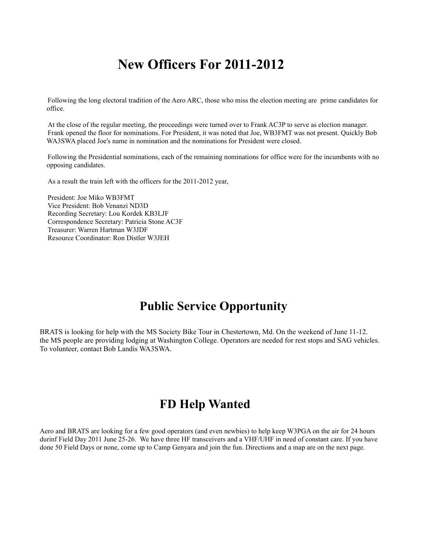## **New Officers For 2011-2012**

Following the long electoral tradition of the Aero ARC, those who miss the election meeting are prime candidates for office.

At the close of the regular meeting, the proceedings were turned over to Frank AC3P to serve as election manager. Frank opened the floor for nominations. For President, it was noted that Joe, WB3FMT was not present. Quickly Bob WA3SWA placed Joe's name in nomination and the nominations for President were closed.

Following the Presidential nominations, each of the remaining nominations for office were for the incumbents with no opposing candidates.

As a result the train left with the officers for the 2011-2012 year,

President: Joe Miko WB3FMT Vice President: Bob Venanzi ND3D Recording Secretary: Lou Kordek KB3LJF Correspondence Secretary: Patricia Stone AC3F Treasurer: Warren Hartman W3JDF Resource Coordinator: Ron Distler W3JEH

## **Public Service Opportunity**

BRATS is looking for help with the MS Society Bike Tour in Chestertown, Md. On the weekend of June 11-12. the MS people are providing lodging at Washington College. Operators are needed for rest stops and SAG vehicles. To volunteer, contact Bob Landis WA3SWA.

## **FD Help Wanted**

Aero and BRATS are looking for a few good operators (and even newbies) to help keep W3PGA on the air for 24 hours durinf Field Day 2011 June 25-26. We have three HF transceivers and a VHF/UHF in need of constant care. If you have done 50 Field Days or none, come up to Camp Genyara and join the fun. Directions and a map are on the next page.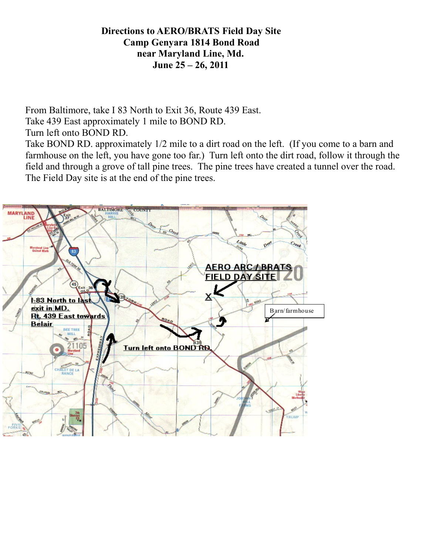### **Directions to AERO/BRATS Field Day Site Camp Genyara 1814 Bond Road near Maryland Line, Md. June 25 – 26, 2011**

From Baltimore, take I 83 North to Exit 36, Route 439 East. Take 439 East approximately 1 mile to BOND RD. Turn left onto BOND RD.

Take BOND RD. approximately 1/2 mile to a dirt road on the left. (If you come to a barn and farmhouse on the left, you have gone too far.) Turn left onto the dirt road, follow it through the field and through a grove of tall pine trees. The pine trees have created a tunnel over the road. The Field Day site is at the end of the pine trees.

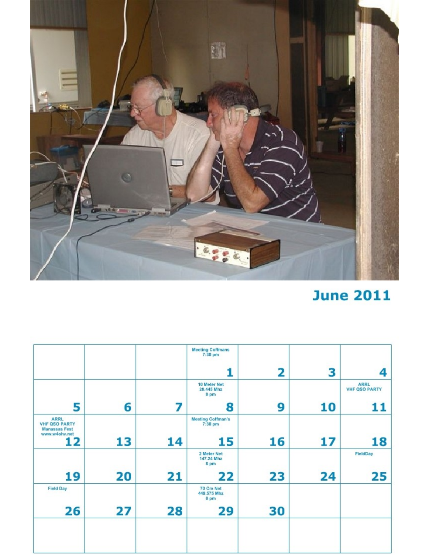

# **June 2011**

|                                                                       |    |    | <b>Meeting Coffmans</b><br>$7:30$ pm |    |    |                                     |
|-----------------------------------------------------------------------|----|----|--------------------------------------|----|----|-------------------------------------|
|                                                                       |    |    |                                      | 2  | 3  | 4                                   |
|                                                                       |    |    | 10 Meter Net<br>28.445 Mhz<br>8 pm   |    |    | <b>ARRL</b><br><b>VHF QSO PARTY</b> |
| 5                                                                     | 6  |    | 8                                    | 9  | 10 | 11                                  |
| <b>ARRL</b><br><b>VHF QSO PARTY</b><br>Manassas Fest<br>www.w4ohv.net |    |    | <b>Meeting Coffman's</b><br>7:30 pm  |    |    |                                     |
| 12                                                                    | 13 | 14 | 15                                   | 16 | 17 | 18                                  |
|                                                                       |    |    | 2 Meter Net<br>147.24 Mhz<br>8 pm    |    |    | FieldDay                            |
| 19                                                                    | 20 | 21 | 22                                   | 23 | 24 | 25                                  |
| <b>Field Day</b>                                                      |    |    | 70 Cm Net<br>449.575 Mhz<br>8 pm     |    |    |                                     |
| 26                                                                    | 27 | 28 | 29                                   | 30 |    |                                     |
|                                                                       |    |    |                                      |    |    |                                     |
|                                                                       |    |    |                                      |    |    |                                     |
|                                                                       |    |    |                                      |    |    |                                     |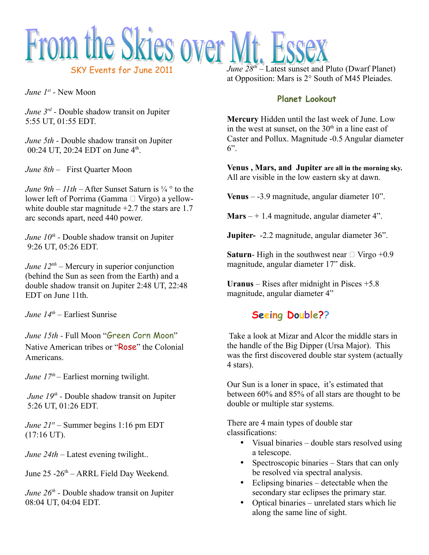

*June 1st -* New Moon

*June 3rd -* Double shadow transit on Jupiter 5:55 UT, 01:55 EDT.

*June 5th -* Double shadow transit on Jupiter 00:24 UT, 20:24 EDT on June 4<sup>th</sup>.

*June 8th* – First Quarter Moon

*June 9th – 11th –* After Sunset Saturn is  $\frac{1}{4}$   $\circ$  to the lower left of Porrima (Gamma  $\Box$  Virgo) a yellowwhite double star magnitude  $+2.7$  the stars are 1.7 arc seconds apart, need 440 power.

*June 10th -* Double shadow transit on Jupiter 9:26 UT, 05:26 EDT.

*June*  $12^{th}$  *– Mercury in superior conjunction* (behind the Sun as seen from the Earth) and a double shadow transit on Jupiter 2:48 UT, 22:48 EDT on June 11th.

*June 14th* – Earliest Sunrise

*June 15th -* Full Moon "Green Corn Moon" Native American tribes or "Rose" the Colonial Americans.

*June 17<sup>th</sup>* – Earliest morning twilight.

*June 19<sup>th</sup>* - Double shadow transit on Jupiter 5:26 UT, 01:26 EDT.

*June 21st –* Summer begins 1:16 pm EDT (17:16 UT).

*June 24th –* Latest evening twilight...

June 25 -26<sup>th</sup> – ARRL Field Day Weekend.

*June 26th -* Double shadow transit on Jupiter 08:04 UT, 04:04 EDT.

*June 28th* – Latest sunset and Pluto (Dwarf Planet) at Opposition: Mars is 2° South of M45 Pleiades.

### **Planet Lookout**

**Mercury** Hidden until the last week of June. Low in the west at sunset, on the  $30<sup>th</sup>$  in a line east of Caster and Pollux. Magnitude -0.5 Angular diameter  $6"$ .

**Venus , Mars, and Jupiter are all in the morning sky.** All are visible in the low eastern sky at dawn.

**Venus** – -3.9 magnitude, angular diameter 10".

**Mars** – + 1.4 magnitude, angular diameter 4".

**Jupiter-** -2.2 magnitude, angular diameter 36".

**Saturn-** High in the southwest near  $\Box$  Virgo +0.9 magnitude, angular diameter 17" disk.

**Uranus** – Rises after midnight in Pisces +5.8 magnitude, angular diameter 4"

### **Seeing Double??**

Take a look at Mizar and Alcor the middle stars in the handle of the Big Dipper (Ursa Major). This was the first discovered double star system (actually 4 stars).

Our Sun is a loner in space, it's estimated that between 60% and 85% of all stars are thought to be double or multiple star systems.

There are 4 main types of double star classifications:

- Visual binaries double stars resolved using a telescope.
- Spectroscopic binaries Stars that can only be resolved via spectral analysis.
- Eclipsing binaries detectable when the secondary star eclipses the primary star.
- Optical binaries unrelated stars which lie along the same line of sight.